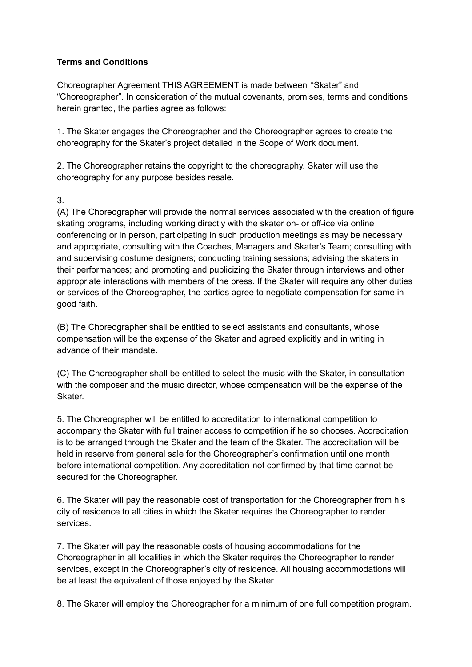## **Terms and Conditions**

Choreographer Agreement THIS AGREEMENT is made between "Skater" and "Choreographer". In consideration of the mutual covenants, promises, terms and conditions herein granted, the parties agree as follows:

1. The Skater engages the Choreographer and the Choreographer agrees to create the choreography for the Skater's project detailed in the Scope of Work document.

2. The Choreographer retains the copyright to the choreography. Skater will use the choreography for any purpose besides resale.

## 3.

(A) The Choreographer will provide the normal services associated with the creation of figure skating programs, including working directly with the skater on- or off-ice via online conferencing or in person, participating in such production meetings as may be necessary and appropriate, consulting with the Coaches, Managers and Skater's Team; consulting with and supervising costume designers; conducting training sessions; advising the skaters in their performances; and promoting and publicizing the Skater through interviews and other appropriate interactions with members of the press. If the Skater will require any other duties or services of the Choreographer, the parties agree to negotiate compensation for same in good faith.

(B) The Choreographer shall be entitled to select assistants and consultants, whose compensation will be the expense of the Skater and agreed explicitly and in writing in advance of their mandate.

(C) The Choreographer shall be entitled to select the music with the Skater, in consultation with the composer and the music director, whose compensation will be the expense of the Skater.

5. The Choreographer will be entitled to accreditation to international competition to accompany the Skater with full trainer access to competition if he so chooses. Accreditation is to be arranged through the Skater and the team of the Skater. The accreditation will be held in reserve from general sale for the Choreographer's confirmation until one month before international competition. Any accreditation not confirmed by that time cannot be secured for the Choreographer.

6. The Skater will pay the reasonable cost of transportation for the Choreographer from his city of residence to all cities in which the Skater requires the Choreographer to render services.

7. The Skater will pay the reasonable costs of housing accommodations for the Choreographer in all localities in which the Skater requires the Choreographer to render services, except in the Choreographer's city of residence. All housing accommodations will be at least the equivalent of those enjoyed by the Skater.

8. The Skater will employ the Choreographer for a minimum of one full competition program.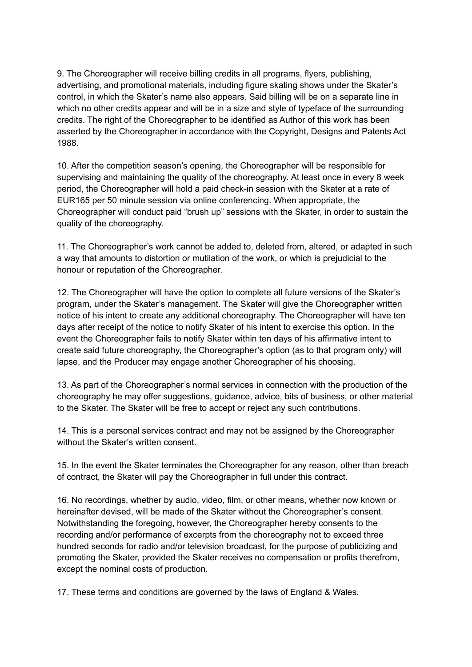9. The Choreographer will receive billing credits in all programs, flyers, publishing, advertising, and promotional materials, including figure skating shows under the Skater's control, in which the Skater's name also appears. Said billing will be on a separate line in which no other credits appear and will be in a size and style of typeface of the surrounding credits. The right of the Choreographer to be identified as Author of this work has been asserted by the Choreographer in accordance with the Copyright, Designs and Patents Act 1988.

10. After the competition season's opening, the Choreographer will be responsible for supervising and maintaining the quality of the choreography. At least once in every 8 week period, the Choreographer will hold a paid check-in session with the Skater at a rate of EUR165 per 50 minute session via online conferencing. When appropriate, the Choreographer will conduct paid "brush up" sessions with the Skater, in order to sustain the quality of the choreography.

11. The Choreographer's work cannot be added to, deleted from, altered, or adapted in such a way that amounts to distortion or mutilation of the work, or which is prejudicial to the honour or reputation of the Choreographer.

12. The Choreographer will have the option to complete all future versions of the Skater's program, under the Skater's management. The Skater will give the Choreographer written notice of his intent to create any additional choreography. The Choreographer will have ten days after receipt of the notice to notify Skater of his intent to exercise this option. In the event the Choreographer fails to notify Skater within ten days of his affirmative intent to create said future choreography, the Choreographer's option (as to that program only) will lapse, and the Producer may engage another Choreographer of his choosing.

13. As part of the Choreographer's normal services in connection with the production of the choreography he may offer suggestions, guidance, advice, bits of business, or other material to the Skater. The Skater will be free to accept or reject any such contributions.

14. This is a personal services contract and may not be assigned by the Choreographer without the Skater's written consent.

15. In the event the Skater terminates the Choreographer for any reason, other than breach of contract, the Skater will pay the Choreographer in full under this contract.

16. No recordings, whether by audio, video, film, or other means, whether now known or hereinafter devised, will be made of the Skater without the Choreographer's consent. Notwithstanding the foregoing, however, the Choreographer hereby consents to the recording and/or performance of excerpts from the choreography not to exceed three hundred seconds for radio and/or television broadcast, for the purpose of publicizing and promoting the Skater, provided the Skater receives no compensation or profits therefrom, except the nominal costs of production.

17. These terms and conditions are governed by the laws of England & Wales.